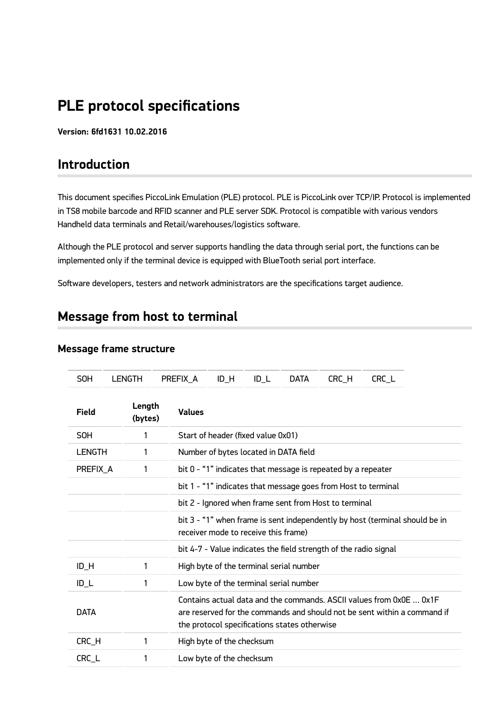# **PLE protocol specifications**

**Version: 6fd1631 10.02.2016**

## **Introduction**

This document specifies PiccoLink Emulation (PLE) protocol. PLE is PiccoLink over TCP/IP. Protocol is implemented in TS8 mobile barcode and RFID scanner and PLE server SDK. Protocol is compatible with various vendors Handheld data terminals and Retail/warehouses/logistics software.

Although the PLE protocol and server supports handling the data through serial port, the functions can be implemented only if the terminal device is equipped with BlueTooth serial port interface.

Software developers, testers and network administrators are the specifications target audience.

# **Message from host to terminal**

| <b>SOH</b>    | <b>LENGTH</b>     | PREFIX A      | $ID_H$<br>$ID_L$                     | <b>DATA</b>                                                      | CRC_H | CRC_L                                                                                                                                           |
|---------------|-------------------|---------------|--------------------------------------|------------------------------------------------------------------|-------|-------------------------------------------------------------------------------------------------------------------------------------------------|
| Field         | Length<br>(bytes) | <b>Values</b> |                                      |                                                                  |       |                                                                                                                                                 |
| <b>SOH</b>    | 1                 |               | Start of header (fixed value 0x01)   |                                                                  |       |                                                                                                                                                 |
| <b>LENGTH</b> | 1                 |               |                                      | Number of bytes located in DATA field                            |       |                                                                                                                                                 |
| PREFIX A      | 1                 |               |                                      | bit 0 - "1" indicates that message is repeated by a repeater     |       |                                                                                                                                                 |
|               |                   |               |                                      | bit 1 - "1" indicates that message goes from Host to terminal    |       |                                                                                                                                                 |
|               |                   |               |                                      | bit 2 - Ignored when frame sent from Host to terminal            |       |                                                                                                                                                 |
|               |                   |               | receiver mode to receive this frame) |                                                                  |       | bit 3 - "1" when frame is sent independently by host (terminal should be in                                                                     |
|               |                   |               |                                      | bit 4-7 - Value indicates the field strength of the radio signal |       |                                                                                                                                                 |
| $ID_H$        | 1                 |               |                                      | High byte of the terminal serial number                          |       |                                                                                                                                                 |
| $ID_L$        | 1                 |               |                                      | Low byte of the terminal serial number                           |       |                                                                                                                                                 |
| <b>DATA</b>   |                   |               |                                      | the protocol specifications states otherwise                     |       | Contains actual data and the commands. ASCII values from 0x0E  0x1F<br>are reserved for the commands and should not be sent within a command if |
| CRC_H         | 1                 |               | High byte of the checksum            |                                                                  |       |                                                                                                                                                 |
| CRC L         | 1                 |               | Low byte of the checksum             |                                                                  |       |                                                                                                                                                 |

#### **Message frame structure**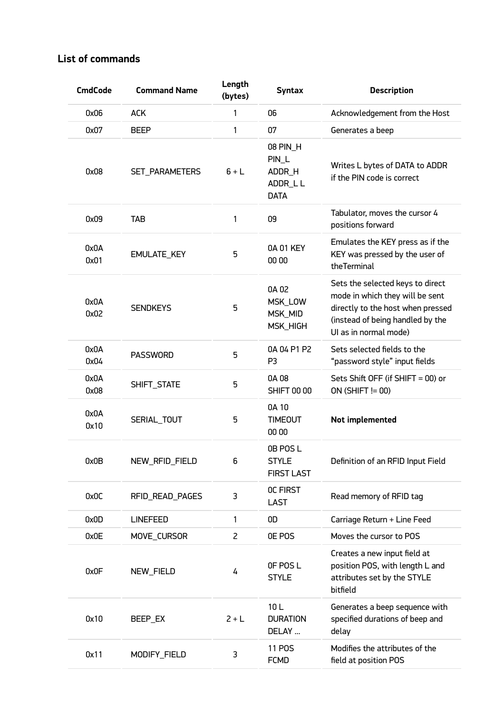## **List of commands**

| <b>CmdCode</b> | <b>Command Name</b> | Length<br>(bytes) | <b>Syntax</b>                                         | <b>Description</b>                                                                                                                                                    |
|----------------|---------------------|-------------------|-------------------------------------------------------|-----------------------------------------------------------------------------------------------------------------------------------------------------------------------|
| 0x06           | <b>ACK</b>          | 1                 | 06                                                    | Acknowledgement from the Host                                                                                                                                         |
| 0x07           | <b>BEEP</b>         | 1                 | 07                                                    | Generates a beep                                                                                                                                                      |
| 0x08           | SET_PARAMETERS      | $6+L$             | 08 PIN_H<br>PIN_L<br>ADDR_H<br>ADDR_LL<br><b>DATA</b> | Writes L bytes of DATA to ADDR<br>if the PIN code is correct                                                                                                          |
| 0x09           | TAB                 | 1                 | 09                                                    | Tabulator, moves the cursor 4<br>positions forward                                                                                                                    |
| 0x0A<br>0x01   | EMULATE_KEY         | 5                 | 0A 01 KEY<br>00 00                                    | Emulates the KEY press as if the<br>KEY was pressed by the user of<br>theTerminal                                                                                     |
| 0x0A<br>0x02   | <b>SENDKEYS</b>     | 5                 | 0A 02<br>MSK_LOW<br>MSK_MID<br>MSK_HIGH               | Sets the selected keys to direct<br>mode in which they will be sent<br>directly to the host when pressed<br>(instead of being handled by the<br>UI as in normal mode) |
| 0x0A<br>0x04   | <b>PASSWORD</b>     | 5                 | 0A 04 P1 P2<br>P <sub>3</sub>                         | Sets selected fields to the<br>"password style" input fields                                                                                                          |
| 0x0A<br>0x08   | SHIFT_STATE         | 5                 | 0A 08<br><b>SHIFT 00 00</b>                           | Sets Shift OFF (if SHIFT = 00) or<br>$ON(SHIFT != 00)$                                                                                                                |
| 0x0A<br>0x10   | SERIAL_TOUT         | 5                 | 0A 10<br><b>TIMEOUT</b><br>00 00                      | Not implemented                                                                                                                                                       |
| 0x0B           | NEW_RFID_FIELD      | 6                 | 0B POS L<br><b>STYLE</b><br><b>FIRST LAST</b>         | Definition of an RFID Input Field                                                                                                                                     |
| 0x0C           | RFID READ PAGES     | 3                 | OC FIRST<br><b>LAST</b>                               | Read memory of RFID tag                                                                                                                                               |
| 0x0D           | <b>LINEFEED</b>     | 1                 | 0D                                                    | Carriage Return + Line Feed                                                                                                                                           |
| 0x0E           | MOVE_CURSOR         | $\overline{c}$    | OE POS                                                | Moves the cursor to POS                                                                                                                                               |
| 0x0F           | NEW_FIELD           | 4                 | OF POSL<br><b>STYLE</b>                               | Creates a new input field at<br>position POS, with length L and<br>attributes set by the STYLE<br>bitfield                                                            |
| 0x10           | BEEP_EX             | $2 + L$           | 10L<br><b>DURATION</b><br>DELAY                       | Generates a beep sequence with<br>specified durations of beep and<br>delay                                                                                            |
| 0x11           | MODIFY_FIELD        | 3                 | <b>11 POS</b><br><b>FCMD</b>                          | Modifies the attributes of the<br>field at position POS                                                                                                               |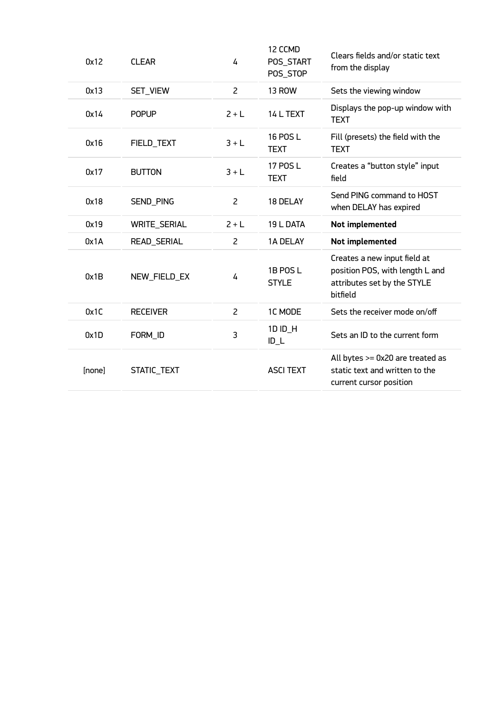| 0x12   | <b>CLEAR</b>        | 4              | 12 CCMD<br>POS_START<br>POS_STOP | Clears fields and/or static text<br>from the display                                                       |
|--------|---------------------|----------------|----------------------------------|------------------------------------------------------------------------------------------------------------|
| 0x13   | SET_VIEW            | $\overline{2}$ | <b>13 ROW</b>                    | Sets the viewing window                                                                                    |
| 0x14   | <b>POPUP</b>        | $2+L$          | 14 L TEXT                        | Displays the pop-up window with<br><b>TEXT</b>                                                             |
| 0x16   | FIELD_TEXT          | $3+L$          | 16 POS L<br><b>TEXT</b>          | Fill (presets) the field with the<br><b>TEXT</b>                                                           |
| 0x17   | <b>BUTTON</b>       | $3+L$          | 17 POS L<br><b>TEXT</b>          | Creates a "button style" input<br>field                                                                    |
| 0x18   | SEND_PING           | $\overline{2}$ | 18 DELAY                         | Send PING command to HOST<br>when DELAY has expired                                                        |
| 0x19   | <b>WRITE_SERIAL</b> | $2 + L$        | 19 L DATA                        | Not implemented                                                                                            |
| 0x1A   | READ_SERIAL         | 2              | 1A DELAY                         | Not implemented                                                                                            |
| 0x1B   | NEW_FIELD_EX        | 4              | 1B POS L<br><b>STYLE</b>         | Creates a new input field at<br>position POS, with length L and<br>attributes set by the STYLE<br>bitfield |
| 0x1C   | <b>RECEIVER</b>     | $\overline{2}$ | 1C MODE                          | Sets the receiver mode on/off                                                                              |
| 0x1D   | FORM_ID             | 3              | 1D ID_H<br>$ID_L$                | Sets an ID to the current form                                                                             |
| [none] | STATIC_TEXT         |                | <b>ASCI TEXT</b>                 | All bytes >= 0x20 are treated as<br>static text and written to the<br>current cursor position              |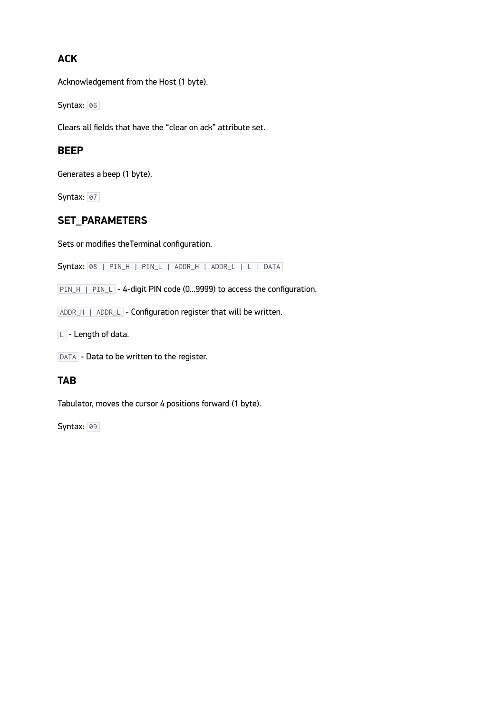## **ACK**

Acknowledgement from the Host (1 byte).

Syntax: 06

Clears all fields that have the "clear on ack" attribute set.

### **BEEP**

Generates a beep (1 byte).

Syntax: 07

## **SET\_PARAMETERS**

Sets or modifies theTerminal configuration.

Syntax: 08 | PIN\_H | PIN\_L | ADDR\_H | ADDR\_L | L | DATA

PIN\_H | PIN\_L - 4-digit PIN code (0...9999) to access the configuration.

ADDR\_H | ADDR\_L - Configuration register that will be written.

 $L$  - Length of data.

DATA - Data to be written to the register.

#### **TAB**

Tabulator, moves the cursor 4 positions forward (1 byte).

Syntax: 09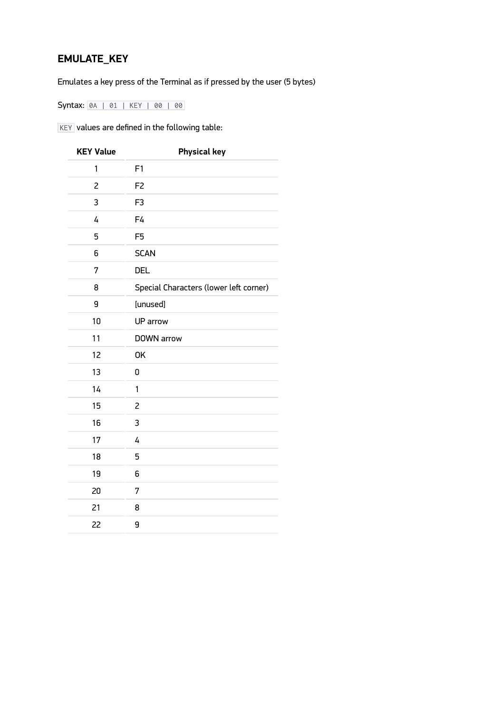## **EMULATE\_KEY**

Emulates a key press of the Terminal as if pressed by the user (5 bytes)

Syntax: 0A | 01 | KEY | 00 | 00

 $K EY$  values are defined in the following table:

| <b>KEY Value</b> | <b>Physical key</b>                    |
|------------------|----------------------------------------|
| 1                | F1                                     |
| $\overline{c}$   | F <sub>2</sub>                         |
| 3                | F <sub>3</sub>                         |
| 4                | F4                                     |
| 5                | F <sub>5</sub>                         |
| 6                | <b>SCAN</b>                            |
| 7                | <b>DEL</b>                             |
| 8                | Special Characters (lower left corner) |
| 9                | [unused]                               |
| 10               | UP arrow                               |
| 11               | DOWN arrow                             |
| 12               | <b>OK</b>                              |
| 13               | 0                                      |
| 14               | 1                                      |
| 15               | 2                                      |
| 16               | 3                                      |
| 17               | 4                                      |
| 18               | 5                                      |
| 19               | 6                                      |
| 20               | 7                                      |
| 21               | 8                                      |
| 22               | 9                                      |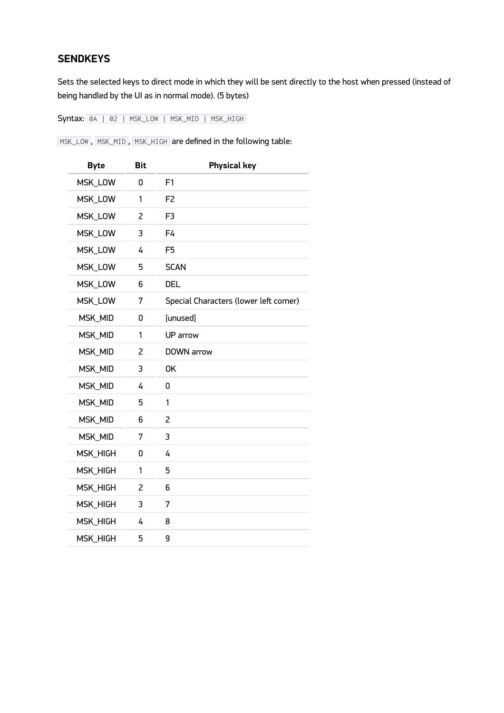## **SENDKEYS**

Sets the selected keys to direct mode in which they will be sent directly to the host when pressed (instead of being handled by the UI as in normal mode). (5 bytes)

Syntax: 0A | 02 | MSK\_LOW | MSK\_MID | MSK\_HIGH

MSK\_LOW , MSK\_MID , MSK\_HIGH are defined in the following table:

| <b>Byte</b>     | <b>Bit</b> | <b>Physical key</b>                    |
|-----------------|------------|----------------------------------------|
| MSK_LOW         | ۵          | F1                                     |
| MSK_LOW         | 1          | F <sub>2</sub>                         |
| MSK_LOW         | 2          | F <sub>3</sub>                         |
| MSK_LOW         | 3          | F4                                     |
| MSK_LOW         | 4          | F <sub>5</sub>                         |
| MSK_LOW         | 5          | <b>SCAN</b>                            |
| MSK_LOW         | 6          | <b>DEL</b>                             |
| MSK_LOW         | 7          | Special Characters (lower left corner) |
| MSK_MID         | 0          | [unused]                               |
| MSK_MID         | 1          | UP arrow                               |
| MSK_MID         | 2          | DOWN arrow                             |
| MSK_MID         | 3          | <b>OK</b>                              |
| MSK_MID         | 4          | 0                                      |
| MSK_MID         | 5          | 1                                      |
| MSK_MID         | 6          | 2                                      |
| MSK_MID         | 7          | 3                                      |
| MSK_HIGH        | U          | 4                                      |
| MSK_HIGH        | 1          | 5                                      |
| MSK_HIGH        | 2          | 6                                      |
| MSK_HIGH        | 3          | 7                                      |
| <b>MSK_HIGH</b> | 4          | 8                                      |
| <b>MSK_HIGH</b> | 5          | 9                                      |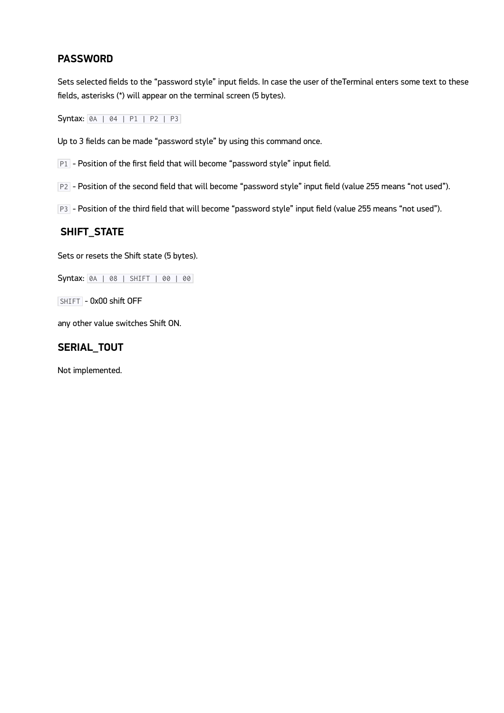### **PASSWORD**

Sets selected fields to the "password style" input fields. In case the user of theTerminal enters some text to these fields, asterisks (\*) will appear on the terminal screen (5 bytes).

Syntax: 0A | 04 | P1 | P2 | P3

Up to 3 fields can be made "password style" by using this command once.

P1 - Position of the first field that will become "password style" input field.

P2 - Position of the second field that will become "password style" input field (value 255 means "not used").

P3 - Position of the third field that will become "password style" input field (value 255 means "not used").

### **SHIFT\_STATE**

Sets or resets the Shift state (5 bytes).

Syntax: 0A | 08 | SHIFT | 00 | 00

SHIFT - 0x00 shift OFF

any other value switches Shift ON.

#### **SERIAL\_TOUT**

Not implemented.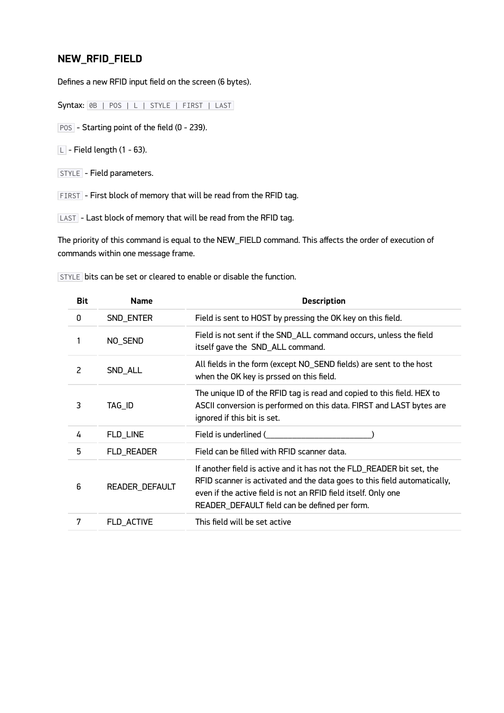## **NEW\_RFID\_FIELD**

Defines a new RFID input field on the screen (6 bytes).

Syntax: 0B | POS | L | STYLE | FIRST | LAST

POS - Starting point of the field (0 - 239).

 $\boxed{\square}$  - Field length (1 - 63).

STYLE - Field parameters.

FIRST - First block of memory that will be read from the RFID tag.

LAST - Last block of memory that will be read from the RFID tag.

The priority of this command is equal to the NEW\_FIELD command. This affects the order of execution of commands within one message frame.

STYLE bits can be set or cleared to enable or disable the function.

| <b>Bit</b> | <b>Name</b>    | <b>Description</b>                                                                                                                                                                                                                                                   |
|------------|----------------|----------------------------------------------------------------------------------------------------------------------------------------------------------------------------------------------------------------------------------------------------------------------|
| 0          | SND_ENTER      | Field is sent to HOST by pressing the OK key on this field.                                                                                                                                                                                                          |
|            | NO_SEND        | Field is not sent if the SND_ALL command occurs, unless the field<br>itself gave the SND_ALL command.                                                                                                                                                                |
| 2          | SND_ALL        | All fields in the form (except NO_SEND fields) are sent to the host<br>when the OK key is prssed on this field.                                                                                                                                                      |
| 3          | TAG_ID         | The unique ID of the RFID tag is read and copied to this field. HEX to<br>ASCII conversion is performed on this data. FIRST and LAST bytes are<br>ignored if this bit is set.                                                                                        |
| 4          | FLD_LINE       | Field is underlined (                                                                                                                                                                                                                                                |
| 5          | FLD_READER     | Field can be filled with RFID scanner data.                                                                                                                                                                                                                          |
| 6          | READER_DEFAULT | If another field is active and it has not the FLD_READER bit set, the<br>RFID scanner is activated and the data goes to this field automatically,<br>even if the active field is not an RFID field itself. Only one<br>READER_DEFAULT field can be defined per form. |
| 7          | FLD_ACTIVE     | This field will be set active                                                                                                                                                                                                                                        |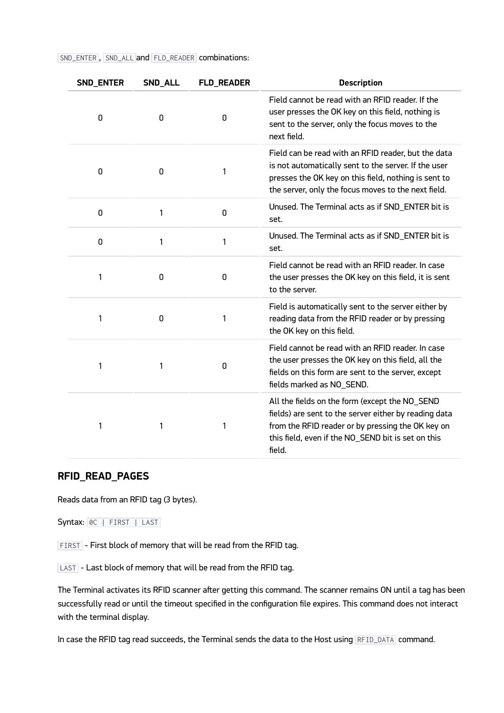| SND_ENTER   | SND_ALL | <b>FLD_READER</b> | <b>Description</b>                                                                                                                                                                                                           |
|-------------|---------|-------------------|------------------------------------------------------------------------------------------------------------------------------------------------------------------------------------------------------------------------------|
| 0           | 0       | 0                 | Field cannot be read with an RFID reader. If the<br>user presses the OK key on this field, nothing is<br>sent to the server, only the focus moves to the<br>next field.                                                      |
| 0           | 0       | 1                 | Field can be read with an RFID reader, but the data<br>is not automatically sent to the server. If the user<br>presses the OK key on this field, nothing is sent to<br>the server, only the focus moves to the next field.   |
| $\mathbf 0$ | 1       | 0                 | Unused. The Terminal acts as if SND_ENTER bit is<br>set.                                                                                                                                                                     |
| 0           | 1       | 1                 | Unused. The Terminal acts as if SND_ENTER bit is<br>set.                                                                                                                                                                     |
| 1           | 0       | 0                 | Field cannot be read with an RFID reader. In case<br>the user presses the OK key on this field, it is sent<br>to the server.                                                                                                 |
| 1           | 0       | 1                 | Field is automatically sent to the server either by<br>reading data from the RFID reader or by pressing<br>the OK key on this field.                                                                                         |
| 1           | 1       | 0                 | Field cannot be read with an RFID reader. In case<br>the user presses the OK key on this field, all the<br>fields on this form are sent to the server, except<br>fields marked as NO_SEND.                                   |
| 1           | 1       | 1                 | All the fields on the form (except the NO_SEND<br>fields) are sent to the server either by reading data<br>from the RFID reader or by pressing the OK key on<br>this field, even if the NO_SEND bit is set on this<br>field. |

SND\_ENTER , SND\_ALL and FLD\_READER combinations:

#### **RFID\_READ\_PAGES**

Reads data from an RFID tag (3 bytes).

Syntax: 0C | FIRST | LAST

FIRST - First block of memory that will be read from the RFID tag.

LAST - Last block of memory that will be read from the RFID tag.

The Terminal activates its RFID scanner after getting this command. The scanner remains ON until a tag has been successfully read or until the timeout specified in the configuration file expires. This command does not interact with the terminal display.

In case the RFID tag read succeeds, the Terminal sends the data to the Host using RFID\_DATA command.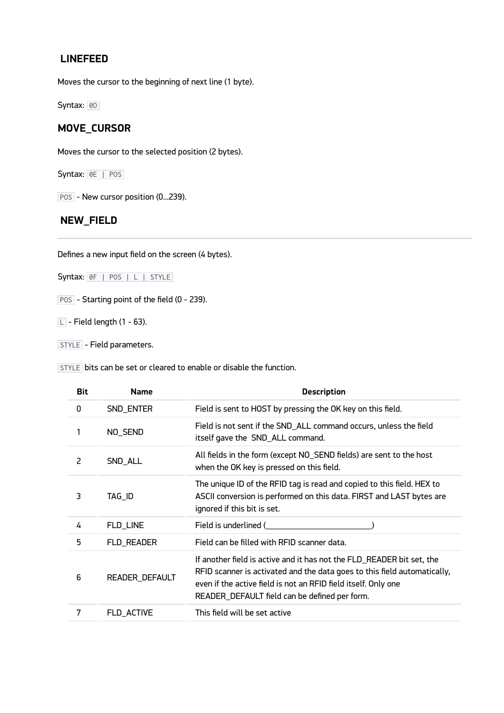### **LINEFEED**

Moves the cursor to the beginning of next line (1 byte).

Syntax: 0D

## **MOVE\_CURSOR**

Moves the cursor to the selected position (2 bytes).

Syntax: 0E | POS

POS - New cursor position (0...239).

### **NEW\_FIELD**

Defines a new input field on the screen (4 bytes).

Syntax: 0F | POS | L | STYLE

POS - Starting point of the field (0 - 239).

 $\boxed{\square}$  - Field length (1 - 63).

STYLE - Field parameters.

STYLE bits can be set or cleared to enable or disable the function.

| <b>Bit</b> | <b>Name</b>    | <b>Description</b>                                                                                                                                                                                                                                                   |
|------------|----------------|----------------------------------------------------------------------------------------------------------------------------------------------------------------------------------------------------------------------------------------------------------------------|
| 0          | SND_ENTER      | Field is sent to HOST by pressing the OK key on this field.                                                                                                                                                                                                          |
|            | NO_SEND        | Field is not sent if the SND_ALL command occurs, unless the field<br>itself gave the SND_ALL command.                                                                                                                                                                |
| 2          | SND_ALL        | All fields in the form (except NO_SEND fields) are sent to the host<br>when the OK key is pressed on this field.                                                                                                                                                     |
| 3          | TAG_ID         | The unique ID of the RFID tag is read and copied to this field. HEX to<br>ASCII conversion is performed on this data. FIRST and LAST bytes are<br>ignored if this bit is set.                                                                                        |
| 4          | FLD_LINE       | Field is underlined (                                                                                                                                                                                                                                                |
| 5          | FLD_READER     | Field can be filled with RFID scanner data.                                                                                                                                                                                                                          |
| 6          | READER_DEFAULT | If another field is active and it has not the FLD_READER bit set, the<br>RFID scanner is activated and the data goes to this field automatically,<br>even if the active field is not an RFID field itself. Only one<br>READER_DEFAULT field can be defined per form. |
| 7          | FLD_ACTIVE     | This field will be set active                                                                                                                                                                                                                                        |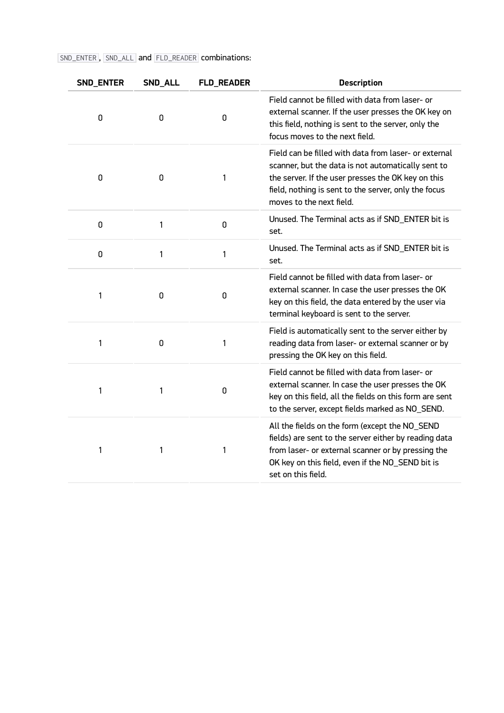## SND\_ENTER , SND\_ALL and FLD\_READER combinations:

| SND_ENTER | SND_ALL | <b>FLD_READER</b> | <b>Description</b>                                                                                                                                                                                                                                    |
|-----------|---------|-------------------|-------------------------------------------------------------------------------------------------------------------------------------------------------------------------------------------------------------------------------------------------------|
| 0         | 0       | 0                 | Field cannot be filled with data from laser- or<br>external scanner. If the user presses the OK key on<br>this field, nothing is sent to the server, only the<br>focus moves to the next field.                                                       |
| 0         | 0       | 1                 | Field can be filled with data from laser- or external<br>scanner, but the data is not automatically sent to<br>the server. If the user presses the OK key on this<br>field, nothing is sent to the server, only the focus<br>moves to the next field. |
| 0         | 1       | 0                 | Unused. The Terminal acts as if SND_ENTER bit is<br>set.                                                                                                                                                                                              |
| 0         | 1       | 1                 | Unused. The Terminal acts as if SND_ENTER bit is<br>set.                                                                                                                                                                                              |
| 1         | 0       | 0                 | Field cannot be filled with data from laser- or<br>external scanner. In case the user presses the OK<br>key on this field, the data entered by the user via<br>terminal keyboard is sent to the server.                                               |
| 1         | 0       | 1                 | Field is automatically sent to the server either by<br>reading data from laser- or external scanner or by<br>pressing the OK key on this field.                                                                                                       |
| 1         | 1       | 0                 | Field cannot be filled with data from laser- or<br>external scanner. In case the user presses the OK<br>key on this field, all the fields on this form are sent<br>to the server, except fields marked as NO_SEND.                                    |
| 1         | 1       | 1                 | All the fields on the form (except the NO_SEND<br>fields) are sent to the server either by reading data<br>from laser- or external scanner or by pressing the<br>OK key on this field, even if the NO_SEND bit is<br>set on this field.               |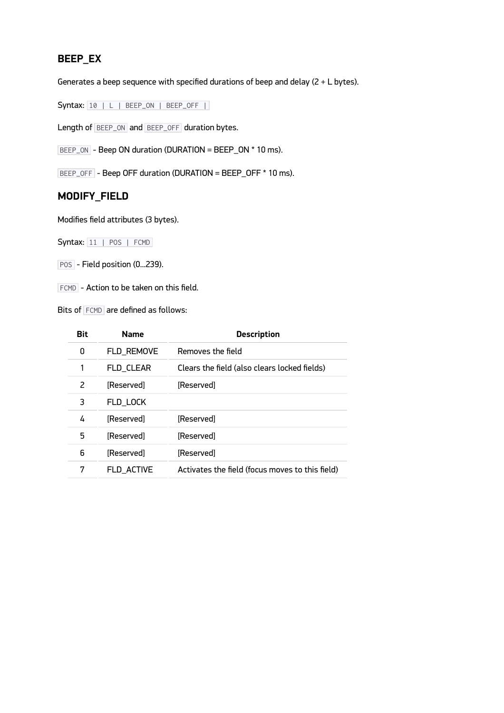## **BEEP\_EX**

Generates a beep sequence with specified durations of beep and delay (2 + L bytes).

Syntax: 10 | L | BEEP\_ON | BEEP\_OFF |

Length of BEEP\_ON and BEEP\_OFF duration bytes.

BEEP\_ON - Beep ON duration (DURATION = BEEP\_ON \* 10 ms).

BEEP\_OFF - Beep OFF duration (DURATION = BEEP\_OFF \* 10 ms).

## **MODIFY\_FIELD**

Modifies field attributes (3 bytes).

Syntax: 11 | POS | FCMD

POS - Field position (0...239).

FCMD - Action to be taken on this field.

Bits of FCMD are defined as follows:

| <b>Name</b> | <b>Description</b>                              |
|-------------|-------------------------------------------------|
| FLD_REMOVE  | Removes the field                               |
| FLD_CLEAR   | Clears the field (also clears locked fields)    |
| [Reserved]  | [Reserved]                                      |
| FLD_LOCK    |                                                 |
| [Reserved]  | [Reserved]                                      |
| [Reserved]  | [Reserved]                                      |
| [Reserved]  | [Reserved]                                      |
| FLD_ACTIVE  | Activates the field (focus moves to this field) |
|             |                                                 |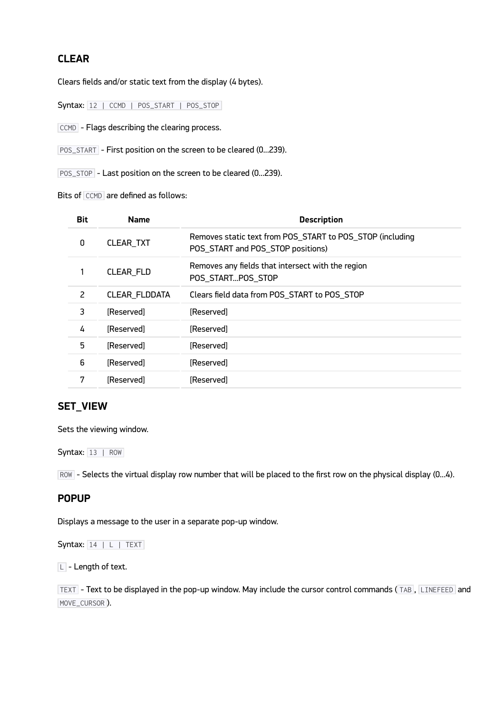## **CLEAR**

Clears fields and/or static text from the display (4 bytes).

Syntax: 12 | CCMD | POS\_START | POS\_STOP

CCMD - Flags describing the clearing process.

POS\_START - First position on the screen to be cleared (0...239).

POS\_STOP - Last position on the screen to be cleared (0...239).

Bits of CCMD are defined as follows:

| <b>Bit</b> | <b>Name</b>   | <b>Description</b>                                                                             |
|------------|---------------|------------------------------------------------------------------------------------------------|
| 0          | CLEAR_TXT     | Removes static text from POS_START to POS_STOP (including<br>POS_START and POS_STOP positions) |
|            | CLEAR_FLD     | Removes any fields that intersect with the region<br>POS_STARTPOS_STOP                         |
| 2          | CLEAR_FLDDATA | Clears field data from POS_START to POS_STOP                                                   |
| 3          | [Reserved]    | [Reserved]                                                                                     |
| 4          | [Reserved]    | [Reserved]                                                                                     |
| 5          | [Reserved]    | [Reserved]                                                                                     |
| 6          | [Reserved]    | [Reserved]                                                                                     |
| 7          | [Reserved]    | [Reserved]                                                                                     |
|            |               |                                                                                                |

### **SET\_VIEW**

Sets the viewing window.

```
Syntax: 13 | ROW
```
ROW - Selects the virtual display row number that will be placed to the first row on the physical display (0...4).

#### **POPUP**

Displays a message to the user in a separate pop-up window.

#### Syntax:  $14 \mid L$  | TEXT

 $\boxed{\text{L}}$  - Length of text.

TEXT - Text to be displayed in the pop-up window. May include the cursor control commands ( TAB , LINEFEED and MOVE\_CURSOR ).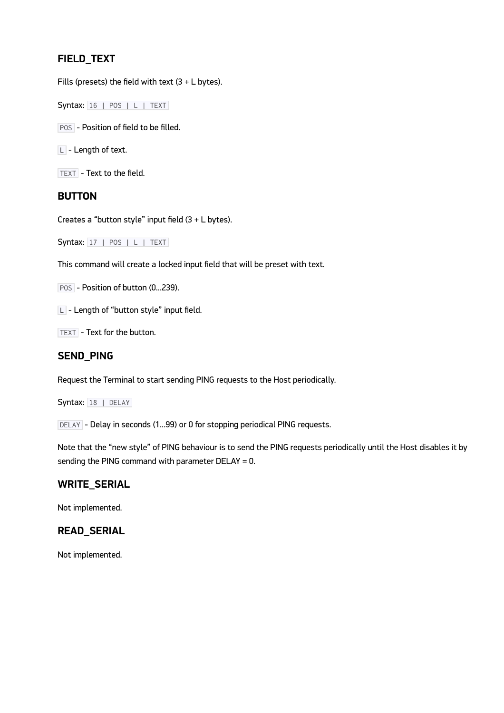## **FIELD\_TEXT**

Fills (presets) the field with text  $(3 + L)$  bytes).

Syntax: 16 | POS | L | TEXT

POS - Position of field to be filled.

 $\boxed{\square}$  - Length of text.

TEXT - Text to the field.

#### **BUTTON**

Creates a "button style" input field  $(3 + L)$  bytes).

 $Syntax: 17 | POS | L | TEXT$ 

This command will create a locked input field that will be preset with text.

POS - Position of button (0...239).

 $L$  - Length of "button style" input field.

TEXT - Text for the button.

### **SEND\_PING**

Request the Terminal to start sending PING requests to the Host periodically.

Syntax: 18 | DELAY

DELAY - Delay in seconds (1...99) or 0 for stopping periodical PING requests.

Note that the "new style" of PING behaviour is to send the PING requests periodically until the Host disables it by sending the PING command with parameter DELAY = 0.

#### **WRITE\_SERIAL**

Not implemented.

#### **READ\_SERIAL**

Not implemented.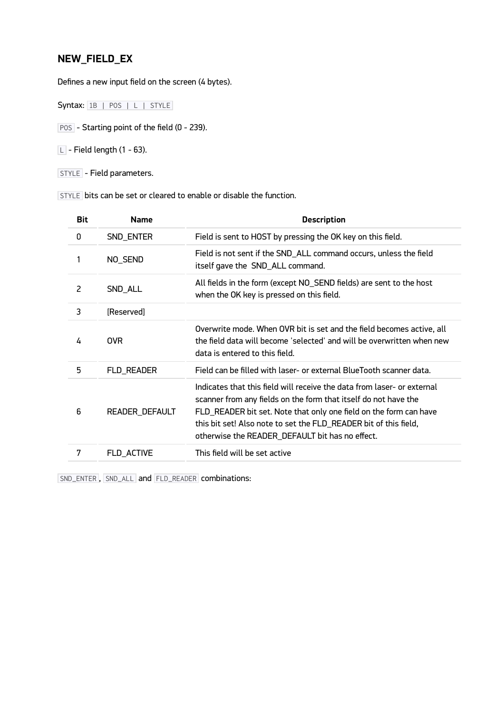## **NEW\_FIELD\_EX**

Defines a new input field on the screen (4 bytes).

Syntax: 1B | POS | L | STYLE

POS - Starting point of the field (0 - 239).

 $L$  - Field length (1 - 63).

STYLE - Field parameters.

STYLE bits can be set or cleared to enable or disable the function.

| <b>Bit</b> | <b>Name</b>    | <b>Description</b>                                                                                                                                                                                                                                                                                                                     |
|------------|----------------|----------------------------------------------------------------------------------------------------------------------------------------------------------------------------------------------------------------------------------------------------------------------------------------------------------------------------------------|
| 0          | SND_ENTER      | Field is sent to HOST by pressing the OK key on this field.                                                                                                                                                                                                                                                                            |
|            | NO_SEND        | Field is not sent if the SND_ALL command occurs, unless the field<br>itself gave the SND_ALL command.                                                                                                                                                                                                                                  |
| 2          | SND_ALL        | All fields in the form (except NO_SEND fields) are sent to the host<br>when the OK key is pressed on this field.                                                                                                                                                                                                                       |
| 3          | [Reserved]     |                                                                                                                                                                                                                                                                                                                                        |
| 4          | <b>OVR</b>     | Overwrite mode. When OVR bit is set and the field becomes active, all<br>the field data will become 'selected' and will be overwritten when new<br>data is entered to this field.                                                                                                                                                      |
| 5          | FLD_READER     | Field can be filled with laser- or external BlueTooth scanner data.                                                                                                                                                                                                                                                                    |
| 6          | READER_DEFAULT | Indicates that this field will receive the data from laser- or external<br>scanner from any fields on the form that itself do not have the<br>FLD_READER bit set. Note that only one field on the form can have<br>this bit set! Also note to set the FLD_READER bit of this field,<br>otherwise the READER_DEFAULT bit has no effect. |
| 7          | FLD_ACTIVE     | This field will be set active                                                                                                                                                                                                                                                                                                          |
|            |                |                                                                                                                                                                                                                                                                                                                                        |

SND\_ENTER , SND\_ALL and FLD\_READER combinations: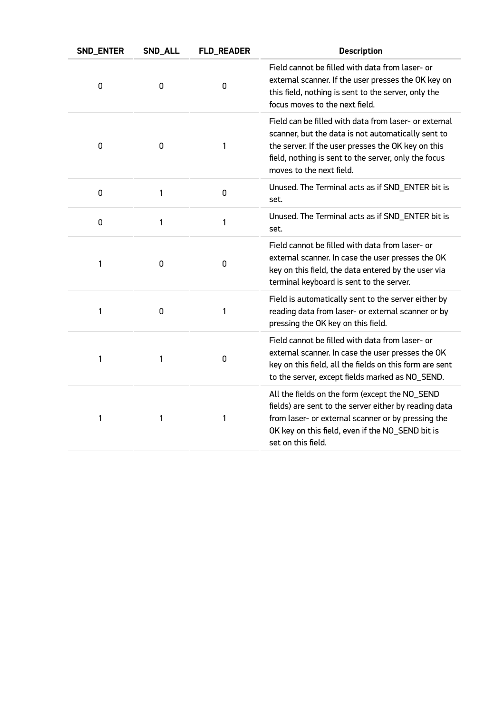| SND_ENTER | SND_ALL | <b>FLD_READER</b> | <b>Description</b>                                                                                                                                                                                                                                    |
|-----------|---------|-------------------|-------------------------------------------------------------------------------------------------------------------------------------------------------------------------------------------------------------------------------------------------------|
| 0         | 0       | 0                 | Field cannot be filled with data from laser- or<br>external scanner. If the user presses the OK key on<br>this field, nothing is sent to the server, only the<br>focus moves to the next field.                                                       |
| 0         | 0       | 1                 | Field can be filled with data from laser- or external<br>scanner, but the data is not automatically sent to<br>the server. If the user presses the OK key on this<br>field, nothing is sent to the server, only the focus<br>moves to the next field. |
| 0         | 1       | 0                 | Unused. The Terminal acts as if SND_ENTER bit is<br>set.                                                                                                                                                                                              |
| 0         | 1       | 1                 | Unused. The Terminal acts as if SND_ENTER bit is<br>set.                                                                                                                                                                                              |
| 1         | 0       | 0                 | Field cannot be filled with data from laser- or<br>external scanner. In case the user presses the OK<br>key on this field, the data entered by the user via<br>terminal keyboard is sent to the server.                                               |
| 1         | 0       | 1                 | Field is automatically sent to the server either by<br>reading data from laser- or external scanner or by<br>pressing the OK key on this field.                                                                                                       |
| 1         | 1       | 0                 | Field cannot be filled with data from laser- or<br>external scanner. In case the user presses the OK<br>key on this field, all the fields on this form are sent<br>to the server, except fields marked as NO_SEND.                                    |
| 1         | 1       | 1                 | All the fields on the form (except the NO_SEND<br>fields) are sent to the server either by reading data<br>from laser- or external scanner or by pressing the<br>OK key on this field, even if the NO_SEND bit is<br>set on this field.               |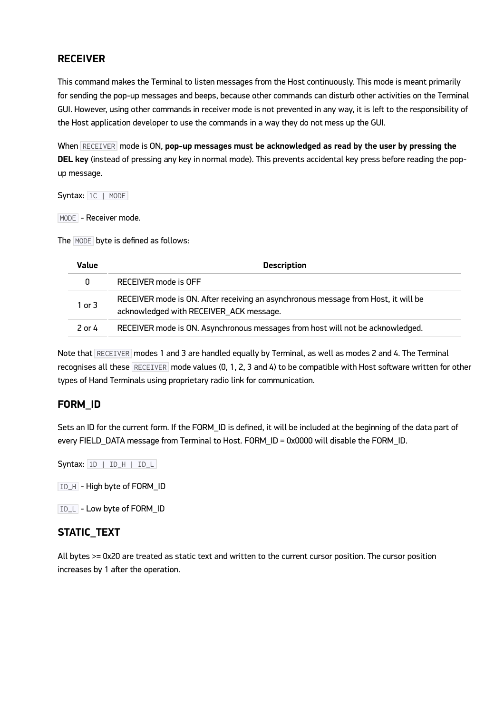## **RECEIVER**

This command makes the Terminal to listen messages from the Host continuously. This mode is meant primarily for sending the pop-up messages and beeps, because other commands can disturb other activities on the Terminal GUI. However, using other commands in receiver mode is not prevented in any way, it is left to the responsibility of the Host application developer to use the commands in a way they do not mess up the GUI.

When **RECEIVER** mode is ON, pop-up messages must be acknowledged as read by the user by pressing the **DEL key** (instead of pressing any key in normal mode). This prevents accidental key press before reading the popup message.

Syntax: 1C | MODE

MODE - Receiver mode.

The MODE byte is defined as follows:

| Value      | <b>Description</b>                                                                                                            |
|------------|-------------------------------------------------------------------------------------------------------------------------------|
|            | RECEIVER mode is OFF                                                                                                          |
| $1$ or $3$ | RECEIVER mode is ON. After receiving an asynchronous message from Host, it will be<br>acknowledged with RECEIVER_ACK message. |
| 2 or 4     | RECEIVER mode is ON. Asynchronous messages from host will not be acknowledged.                                                |

Note that RECEIVER modes 1 and 3 are handled equally by Terminal, as well as modes 2 and 4. The Terminal recognises all these RECEIVER mode values (0, 1, 2, 3 and 4) to be compatible with Host software written for other types of Hand Terminals using proprietary radio link for communication.

#### **FORM\_ID**

Sets an ID for the current form. If the FORM\_ID is defined, it will be included at the beginning of the data part of every FIELD\_DATA message from Terminal to Host. FORM\_ID = 0x0000 will disable the FORM\_ID.

Syntax: 1D | ID\_H | ID\_L

ID\_H - High byte of FORM\_ID

ID\_L - Low byte of FORM\_ID

#### **STATIC\_TEXT**

All bytes >= 0x20 are treated as static text and written to the current cursor position. The cursor position increases by 1 after the operation.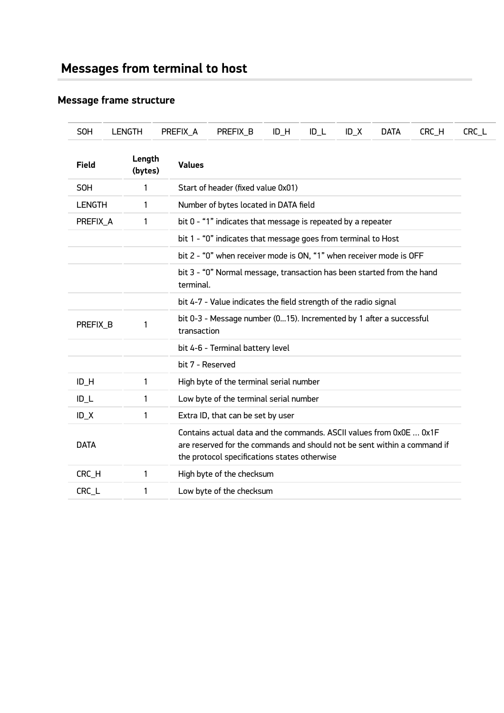# **Message frame structure**

| <b>SOH</b>    | <b>LENGTH</b>     | PREFIX_A         | PREFIX_B                                                                                                                                                                                        | $ID$ $H$ | $ID_L$ | $ID_X$ | <b>DATA</b> | CRC_H | CRC_L |
|---------------|-------------------|------------------|-------------------------------------------------------------------------------------------------------------------------------------------------------------------------------------------------|----------|--------|--------|-------------|-------|-------|
| Field         | Length<br>(bytes) | <b>Values</b>    |                                                                                                                                                                                                 |          |        |        |             |       |       |
| SOH           | 1                 |                  | Start of header (fixed value 0x01)                                                                                                                                                              |          |        |        |             |       |       |
| <b>LENGTH</b> | 1                 |                  | Number of bytes located in DATA field                                                                                                                                                           |          |        |        |             |       |       |
| PREFIX_A      | 1                 |                  | bit 0 - "1" indicates that message is repeated by a repeater                                                                                                                                    |          |        |        |             |       |       |
|               |                   |                  | bit 1 - "0" indicates that message goes from terminal to Host                                                                                                                                   |          |        |        |             |       |       |
|               |                   |                  | bit 2 - "0" when receiver mode is ON, "1" when receiver mode is OFF                                                                                                                             |          |        |        |             |       |       |
|               |                   | terminal.        | bit 3 - "0" Normal message, transaction has been started from the hand                                                                                                                          |          |        |        |             |       |       |
|               |                   |                  | bit 4-7 - Value indicates the field strength of the radio signal                                                                                                                                |          |        |        |             |       |       |
| PREFIX_B      | 1                 |                  | bit 0-3 - Message number (015). Incremented by 1 after a successful<br>transaction                                                                                                              |          |        |        |             |       |       |
|               |                   |                  | bit 4-6 - Terminal battery level                                                                                                                                                                |          |        |        |             |       |       |
|               |                   | bit 7 - Reserved |                                                                                                                                                                                                 |          |        |        |             |       |       |
| ID_H          | 1                 |                  | High byte of the terminal serial number                                                                                                                                                         |          |        |        |             |       |       |
| $ID_L$        | 1                 |                  | Low byte of the terminal serial number                                                                                                                                                          |          |        |        |             |       |       |
| $ID_X$        | 1                 |                  | Extra ID, that can be set by user                                                                                                                                                               |          |        |        |             |       |       |
| <b>DATA</b>   |                   |                  | Contains actual data and the commands. ASCII values from 0x0E  0x1F<br>are reserved for the commands and should not be sent within a command if<br>the protocol specifications states otherwise |          |        |        |             |       |       |
| CRC_H         | 1                 |                  | High byte of the checksum                                                                                                                                                                       |          |        |        |             |       |       |
| CRC_L         | 1                 |                  | Low byte of the checksum                                                                                                                                                                        |          |        |        |             |       |       |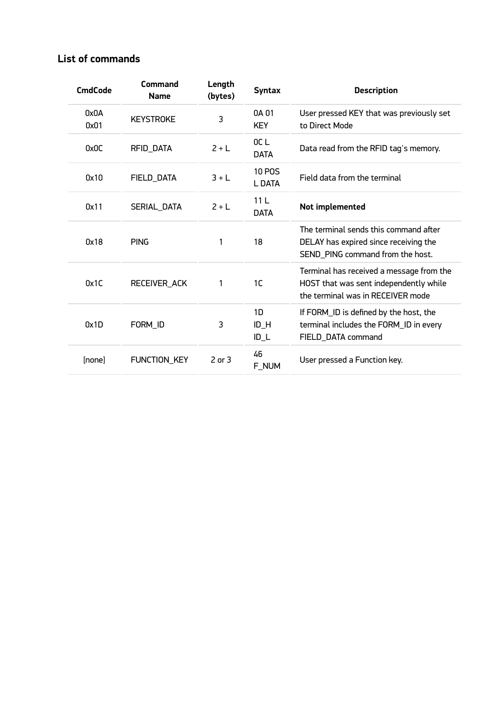## **List of commands**

| <b>CmdCode</b> | Command<br><b>Name</b> | Length<br>(bytes) | <b>Syntax</b>                  | <b>Description</b>                                                                                                      |
|----------------|------------------------|-------------------|--------------------------------|-------------------------------------------------------------------------------------------------------------------------|
| 0x0A<br>0x01   | <b>KEYSTROKE</b>       | 3                 | 0A 01<br><b>KEY</b>            | User pressed KEY that was previously set<br>to Direct Mode                                                              |
| 0x0C           | RFID_DATA              | $2 + L$           | OC <sub>1</sub><br><b>DATA</b> | Data read from the RFID tag's memory.                                                                                   |
| 0x10           | FIELD_DATA             | $3+L$             | <b>10 POS</b><br>L DATA        | Field data from the terminal                                                                                            |
| 0x11           | SERIAL_DATA            | $2 + L$           | 11L<br><b>DATA</b>             | Not implemented                                                                                                         |
| 0x18           | <b>PING</b>            | 1                 | 18                             | The terminal sends this command after<br>DELAY has expired since receiving the<br>SEND_PING command from the host.      |
| 0x1C           | RECEIVER_ACK           | 1                 | 1 <sup>C</sup>                 | Terminal has received a message from the<br>HOST that was sent independently while<br>the terminal was in RECEIVER mode |
| 0x1D           | FORM_ID                | 3                 | 1D<br>$ID$ $H$<br>$ID_L$       | If FORM_ID is defined by the host, the<br>terminal includes the FORM_ID in every<br>FIELD_DATA command                  |
| [none]         | FUNCTION_KEY           | $2$ or $3$        | 46<br>F_NUM                    | User pressed a Function key.                                                                                            |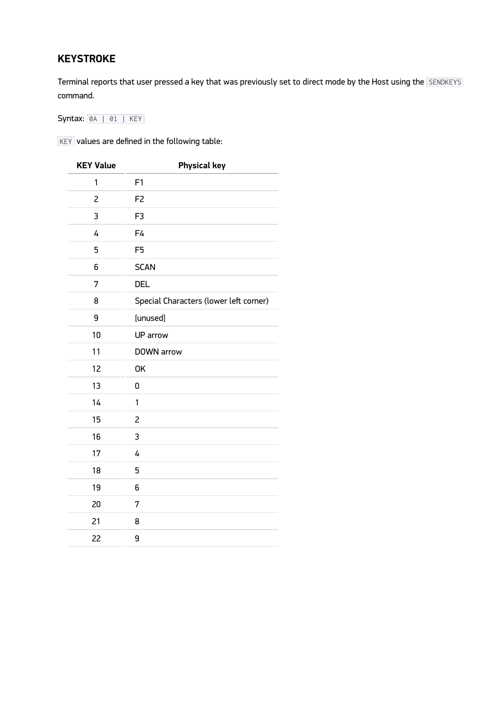## **KEYSTROKE**

Terminal reports that user pressed a key that was previously set to direct mode by the Host using the SENDKEYS command.

Syntax: 0A | 01 | KEY

 $K$ EY values are defined in the following table:

| <b>KEY Value</b> | <b>Physical key</b>                    |  |  |
|------------------|----------------------------------------|--|--|
| 1                | F1                                     |  |  |
| 2                | F <sub>2</sub>                         |  |  |
| 3                | F <sub>3</sub>                         |  |  |
| 4                | F4                                     |  |  |
| 5                | F <sub>5</sub>                         |  |  |
| 6                | <b>SCAN</b>                            |  |  |
| 7                | <b>DEL</b>                             |  |  |
| 8                | Special Characters (lower left corner) |  |  |
| 9                | [unused]                               |  |  |
| 10               | UP arrow                               |  |  |
| 11               | DOWN arrow                             |  |  |
| 12               | OK                                     |  |  |
| 13               | 0                                      |  |  |
| 14               | 1                                      |  |  |
| 15               | $\overline{c}$                         |  |  |
| 16               | 3                                      |  |  |
| 17               | 4                                      |  |  |
| 18               | 5                                      |  |  |
| 19               | 6                                      |  |  |
| 20               | 7                                      |  |  |
| 21               | 8                                      |  |  |
| 22               | 9                                      |  |  |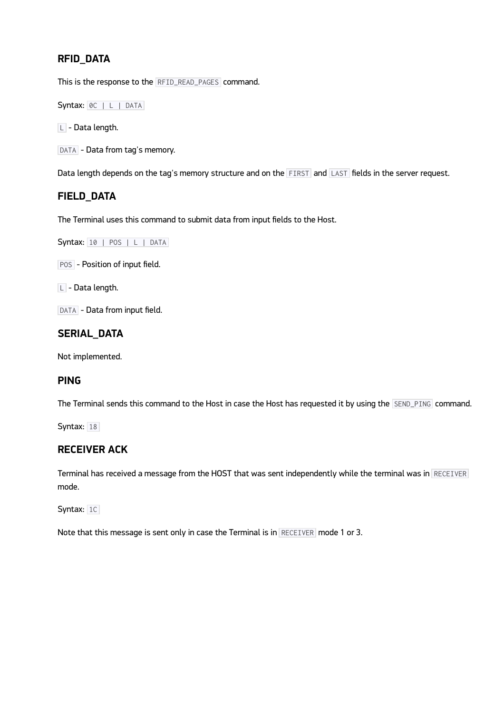## **RFID\_DATA**

This is the response to the RFID\_READ\_PAGES command.

Syntax: 0C | L | DATA

 $\boxed{\square}$  - Data length.

DATA - Data from tag's memory.

Data length depends on the tag's memory structure and on the FIRST and LAST fields in the server request.

#### **FIELD\_DATA**

The Terminal uses this command to submit data from input fields to the Host.

```
Syntax: 10 | POS | L | DATA
```
POS - Position of input field.

 $\boxed{\square}$  - Data length.

DATA - Data from input field.

#### **SERIAL\_DATA**

Not implemented.

#### **PING**

The Terminal sends this command to the Host in case the Host has requested it by using the SEND\_PING command.

Syntax:  $18$ 

#### **RECEIVER ACK**

Terminal has received a message from the HOST that was sent independently while the terminal was in RECEIVER mode.

Syntax: 1C

Note that this message is sent only in case the Terminal is in RECEIVER mode 1 or 3.